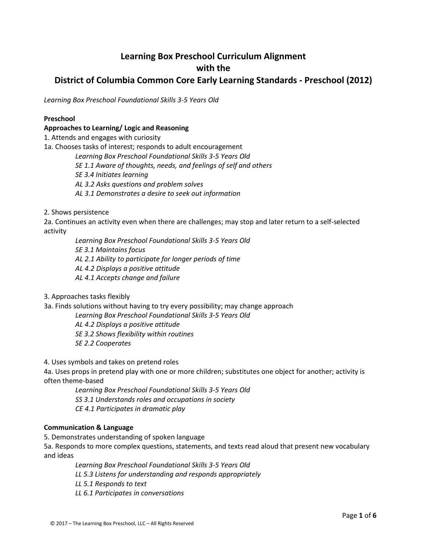# **Learning Box Preschool Curriculum Alignment with the District of Columbia Common Core Early Learning Standards - Preschool (2012)**

*Learning Box Preschool Foundational Skills 3-5 Years Old*

### **Preschool**

## **Approaches to Learning/ Logic and Reasoning**

1. Attends and engages with curiosity

1a. Chooses tasks of interest; responds to adult encouragement

*Learning Box Preschool Foundational Skills 3-5 Years Old SE 1.1 Aware of thoughts, needs, and feelings of self and others SE 3.4 Initiates learning AL 3.2 Asks questions and problem solves AL 3.1 Demonstrates a desire to seek out information*

2. Shows persistence

2a. Continues an activity even when there are challenges; may stop and later return to a self-selected activity

*Learning Box Preschool Foundational Skills 3-5 Years Old SE 3.1 Maintains focus AL 2.1 Ability to participate for longer periods of time AL 4.2 Displays a positive attitude AL 4.1 Accepts change and failure*

3. Approaches tasks flexibly

3a. Finds solutions without having to try every possibility; may change approach

*Learning Box Preschool Foundational Skills 3-5 Years Old*

*AL 4.2 Displays a positive attitude*

*SE 3.2 Shows flexibility within routines*

*SE 2.2 Cooperates*

4. Uses symbols and takes on pretend roles

4a. Uses props in pretend play with one or more children; substitutes one object for another; activity is often theme-based

*Learning Box Preschool Foundational Skills 3-5 Years Old SS 3.1 Understands roles and occupations in society CE 4.1 Participates in dramatic play*

# **Communication & Language**

5. Demonstrates understanding of spoken language

5a. Responds to more complex questions, statements, and texts read aloud that present new vocabulary and ideas

*Learning Box Preschool Foundational Skills 3-5 Years Old LL 5.3 Listens for understanding and responds appropriately LL 5.1 Responds to text LL 6.1 Participates in conversations*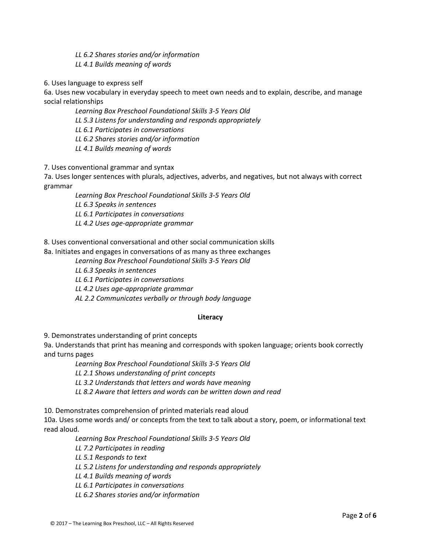*LL 6.2 Shares stories and/or information*

*LL 4.1 Builds meaning of words*

6. Uses language to express self

6a. Uses new vocabulary in everyday speech to meet own needs and to explain, describe, and manage social relationships

*Learning Box Preschool Foundational Skills 3-5 Years Old*

*LL 5.3 Listens for understanding and responds appropriately*

*LL 6.1 Participates in conversations*

*LL 6.2 Shares stories and/or information*

*LL 4.1 Builds meaning of words*

7. Uses conventional grammar and syntax

7a. Uses longer sentences with plurals, adjectives, adverbs, and negatives, but not always with correct grammar

*Learning Box Preschool Foundational Skills 3-5 Years Old*

*LL 6.3 Speaks in sentences*

*LL 6.1 Participates in conversations*

*LL 4.2 Uses age-appropriate grammar*

8. Uses conventional conversational and other social communication skills

8a. Initiates and engages in conversations of as many as three exchanges

*Learning Box Preschool Foundational Skills 3-5 Years Old*

*LL 6.3 Speaks in sentences*

*LL 6.1 Participates in conversations*

*LL 4.2 Uses age-appropriate grammar*

*AL 2.2 Communicates verbally or through body language*

# **Literacy**

9. Demonstrates understanding of print concepts

9a. Understands that print has meaning and corresponds with spoken language; orients book correctly and turns pages

*Learning Box Preschool Foundational Skills 3-5 Years Old*

*LL 2.1 Shows understanding of print concepts*

*LL 3.2 Understands that letters and words have meaning*

*LL 8.2 Aware that letters and words can be written down and read*

10. Demonstrates comprehension of printed materials read aloud

10a. Uses some words and/ or concepts from the text to talk about a story, poem, or informational text read aloud.

*Learning Box Preschool Foundational Skills 3-5 Years Old*

*LL 7.2 Participates in reading*

*LL 5.1 Responds to text*

*LL 5.2 Listens for understanding and responds appropriately*

*LL 4.1 Builds meaning of words*

*LL 6.1 Participates in conversations* 

*LL 6.2 Shares stories and/or information*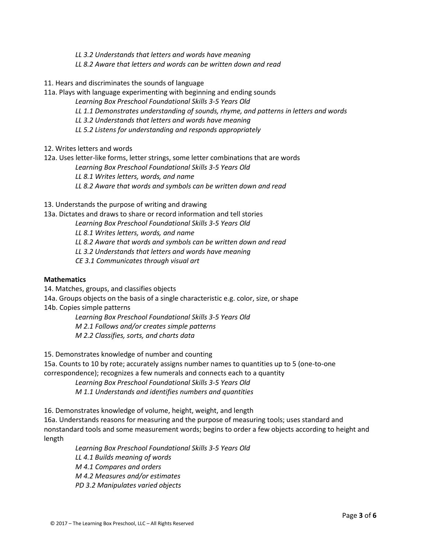*LL 3.2 Understands that letters and words have meaning*

*LL 8.2 Aware that letters and words can be written down and read*

11. Hears and discriminates the sounds of language

11a. Plays with language experimenting with beginning and ending sounds

*Learning Box Preschool Foundational Skills 3-5 Years Old*

*LL 1.1 Demonstrates understanding of sounds, rhyme, and patterns in letters and words*

*LL 3.2 Understands that letters and words have meaning*

*LL 5.2 Listens for understanding and responds appropriately*

12. Writes letters and words

12a. Uses letter-like forms, letter strings, some letter combinations that are words

*Learning Box Preschool Foundational Skills 3-5 Years Old*

*LL 8.1 Writes letters, words, and name*

*LL 8.2 Aware that words and symbols can be written down and read*

13. Understands the purpose of writing and drawing

13a. Dictates and draws to share or record information and tell stories

*Learning Box Preschool Foundational Skills 3-5 Years Old*

*LL 8.1 Writes letters, words, and name*

*LL 8.2 Aware that words and symbols can be written down and read*

*LL 3.2 Understands that letters and words have meaning*

*CE 3.1 Communicates through visual art*

#### **Mathematics**

14. Matches, groups, and classifies objects

14a. Groups objects on the basis of a single characteristic e.g. color, size, or shape

14b. Copies simple patterns

*Learning Box Preschool Foundational Skills 3-5 Years Old M 2.1 Follows and/or creates simple patterns M 2.2 Classifies, sorts, and charts data*

15. Demonstrates knowledge of number and counting

15a. Counts to 10 by rote; accurately assigns number names to quantities up to 5 (one-to-one correspondence); recognizes a few numerals and connects each to a quantity

*Learning Box Preschool Foundational Skills 3-5 Years Old M 1.1 Understands and identifies numbers and quantities*

16. Demonstrates knowledge of volume, height, weight, and length

16a. Understands reasons for measuring and the purpose of measuring tools; uses standard and nonstandard tools and some measurement words; begins to order a few objects according to height and length

*Learning Box Preschool Foundational Skills 3-5 Years Old LL 4.1 Builds meaning of words M 4.1 Compares and orders M 4.2 Measures and/or estimates PD 3.2 Manipulates varied objects*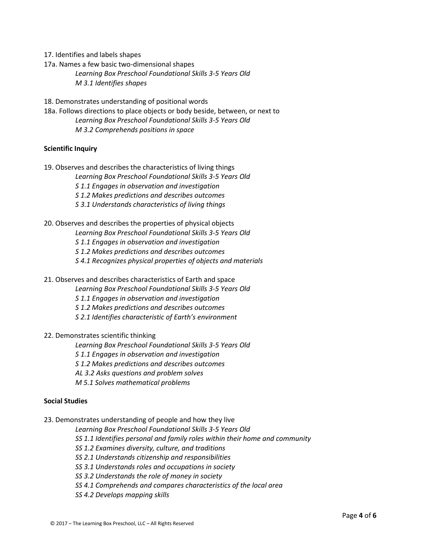- 17. Identifies and labels shapes
- 17a. Names a few basic two-dimensional shapes *Learning Box Preschool Foundational Skills 3-5 Years Old M 3.1 Identifies shapes*
- 18. Demonstrates understanding of positional words
- 18a. Follows directions to place objects or body beside, between, or next to *Learning Box Preschool Foundational Skills 3-5 Years Old M 3.2 Comprehends positions in space*

#### **Scientific Inquiry**

- 19. Observes and describes the characteristics of living things
	- *Learning Box Preschool Foundational Skills 3-5 Years Old*
	- *S 1.1 Engages in observation and investigation*
	- *S 1.2 Makes predictions and describes outcomes*
	- *S 3.1 Understands characteristics of living things*
- 20. Observes and describes the properties of physical objects
	- *Learning Box Preschool Foundational Skills 3-5 Years Old*
	- *S 1.1 Engages in observation and investigation*
	- *S 1.2 Makes predictions and describes outcomes*
	- *S 4.1 Recognizes physical properties of objects and materials*
- 21. Observes and describes characteristics of Earth and space
	- *Learning Box Preschool Foundational Skills 3-5 Years Old*
	- *S 1.1 Engages in observation and investigation*
	- *S 1.2 Makes predictions and describes outcomes*
	- *S 2.1 Identifies characteristic of Earth's environment*
- 22. Demonstrates scientific thinking

*Learning Box Preschool Foundational Skills 3-5 Years Old*

- *S 1.1 Engages in observation and investigation*
- *S 1.2 Makes predictions and describes outcomes*
- *AL 3.2 Asks questions and problem solves*
- *M 5.1 Solves mathematical problems*

#### **Social Studies**

- 23. Demonstrates understanding of people and how they live
	- *Learning Box Preschool Foundational Skills 3-5 Years Old*
	- *SS 1.1 Identifies personal and family roles within their home and community*
	- *SS 1.2 Examines diversity, culture, and traditions*
	- *SS 2.1 Understands citizenship and responsibilities*
	- *SS 3.1 Understands roles and occupations in society*
	- *SS 3.2 Understands the role of money in society*
	- *SS 4.1 Comprehends and compares characteristics of the local area*
	- *SS 4.2 Develops mapping skills*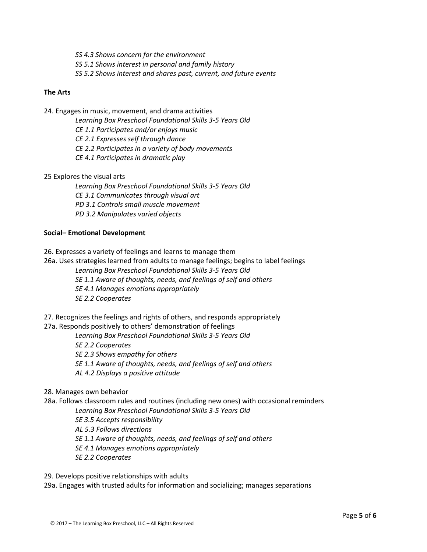*SS 4.3 Shows concern for the environment SS 5.1 Shows interest in personal and family history SS 5.2 Shows interest and shares past, current, and future events*

## **The Arts**

24. Engages in music, movement, and drama activities

*Learning Box Preschool Foundational Skills 3-5 Years Old*

*CE 1.1 Participates and/or enjoys music*

*CE 2.1 Expresses self through dance*

*CE 2.2 Participates in a variety of body movements*

*CE 4.1 Participates in dramatic play*

25 Explores the visual arts

*Learning Box Preschool Foundational Skills 3-5 Years Old CE 3.1 Communicates through visual art PD 3.1 Controls small muscle movement PD 3.2 Manipulates varied objects*

# **Social– Emotional Development**

26. Expresses a variety of feelings and learns to manage them

26a. Uses strategies learned from adults to manage feelings; begins to label feelings

*Learning Box Preschool Foundational Skills 3-5 Years Old*

*SE 1.1 Aware of thoughts, needs, and feelings of self and others*

*SE 4.1 Manages emotions appropriately*

*SE 2.2 Cooperates*

27. Recognizes the feelings and rights of others, and responds appropriately

27a. Responds positively to others' demonstration of feelings

*Learning Box Preschool Foundational Skills 3-5 Years Old*

*SE 2.2 Cooperates*

*SE 2.3 Shows empathy for others*

*SE 1.1 Aware of thoughts, needs, and feelings of self and others*

*AL 4.2 Displays a positive attitude*

28. Manages own behavior

28a. Follows classroom rules and routines (including new ones) with occasional reminders

*Learning Box Preschool Foundational Skills 3-5 Years Old*

*SE 3.5 Accepts responsibility*

*AL 5.3 Follows directions*

*SE 1.1 Aware of thoughts, needs, and feelings of self and others*

*SE 4.1 Manages emotions appropriately*

*SE 2.2 Cooperates*

29. Develops positive relationships with adults

29a. Engages with trusted adults for information and socializing; manages separations